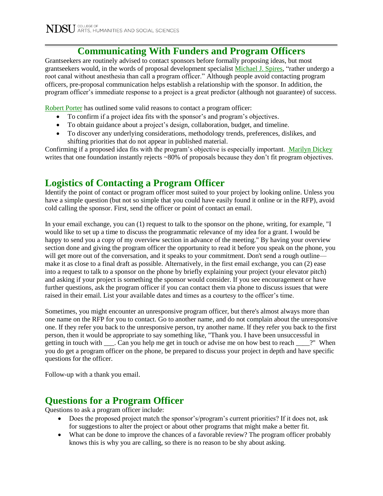### **Communicating With Funders and Program Officers**

Grantseekers are routinely advised to contact sponsors before formally proposing ideas, but most grantseekers would, in the words of proposal development specialist [Michael J. Spires,](http://chronicle.com/article/What-to-Say-and-Not-Say-to/131282/) "rather undergo a root canal without anesthesia than call a program officer." Although people avoid contacting program officers, pre-proposal communication helps establish a relationship with the sponsor. In addition, the program officer's immediate response to a project is a great predictor (although not guarantee) of success.

[Robert Porter](https://www.okhighered.org/grant-opps/docs/can-we-talk-contacting-program-officers.pdf) has outlined some valid reasons to contact a program officer:

- To confirm if a project idea fits with the sponsor's and program's objectives.
- To obtain guidance about a project's design, collaboration, budget, and timeline.
- To discover any underlying considerations, methodology trends, preferences, dislikes, and shifting priorities that do not appear in published material.

Confirming if a proposed idea fits with the program's objective is especially important[. Marilyn Dickey](http://philanthropy.com/article/Grant-Makers-Reveal-the-Most/52487/) writes that one foundation instantly rejects ~80% of proposals because they don't fit program objectives.

## **Logistics of Contacting a Program Officer**

Identify the point of contact or program officer most suited to your project by looking online. Unless you have a simple question (but not so simple that you could have easily found it online or in the RFP), avoid cold calling the sponsor. First, send the officer or point of contact an email.

In your email exchange, you can (1) request to talk to the sponsor on the phone, writing, for example, "I would like to set up a time to discuss the programmatic relevance of my idea for a grant. I would be happy to send you a copy of my overview section in advance of the meeting." By having your overview section done and giving the program officer the opportunity to read it before you speak on the phone, you will get more out of the conversation, and it speaks to your commitment. Don't send a rough outline make it as close to a final draft as possible. Alternatively, in the first email exchange, you can (2) ease into a request to talk to a sponsor on the phone by briefly explaining your project (your elevator pitch) and asking if your project is something the sponsor would consider. If you see encouragement or have further questions, ask the program officer if you can contact them via phone to discuss issues that were raised in their email. List your available dates and times as a courtesy to the officer's time.

Sometimes, you might encounter an unresponsive program officer, but there's almost always more than one name on the RFP for you to contact. Go to another name, and do not complain about the unresponsive one. If they refer you back to the unresponsive person, try another name. If they refer you back to the first person, then it would be appropriate to say something like, "Thank you. I have been unsuccessful in getting in touch with \_\_\_. Can you help me get in touch or advise me on how best to reach \_\_\_\_?" When you do get a program officer on the phone, be prepared to discuss your project in depth and have specific questions for the officer.

Follow-up with a thank you email.

## **Questions for a Program Officer**

Questions to ask a program officer include:

- Does the proposed project match the sponsor's/program's current priorities? If it does not, ask for suggestions to alter the project or about other programs that might make a better fit.
- What can be done to improve the chances of a favorable review? The program officer probably knows this is why you are calling, so there is no reason to be shy about asking.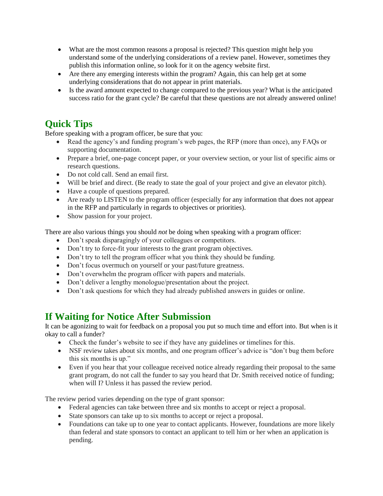- What are the most common reasons a proposal is rejected? This question might help you understand some of the underlying considerations of a review panel. However, sometimes they publish this information online, so look for it on the agency website first.
- Are there any emerging interests within the program? Again, this can help get at some underlying considerations that do not appear in print materials.
- Is the award amount expected to change compared to the previous year? What is the anticipated success ratio for the grant cycle? Be careful that these questions are not already answered online!

### **Quick Tips**

Before speaking with a program officer, be sure that you:

- Read the agency's and funding program's web pages, the RFP (more than once), any FAQs or supporting documentation.
- Prepare a brief, one-page concept paper, or your overview section, or your list of specific aims or research questions.
- Do not cold call. Send an email first.
- Will be brief and direct. (Be ready to state the goal of your project and give an elevator pitch).
- Have a couple of questions prepared.
- Are ready to LISTEN to the program officer (especially for any information that does not appear in the RFP and particularly in regards to objectives or priorities).
- Show passion for your project.

There are also various things you should *not* be doing when speaking with a program officer:

- Don't speak disparagingly of your colleagues or competitors.
- Don't try to force-fit your interests to the grant program objectives.
- Don't try to tell the program officer what you think they should be funding.
- Don't focus overmuch on yourself or your past/future greatness.
- Don't overwhelm the program officer with papers and materials.
- Don't deliver a lengthy monologue/presentation about the project.
- Don't ask questions for which they had already published answers in guides or online.

#### **If Waiting for Notice After Submission**

It can be agonizing to wait for feedback on a proposal you put so much time and effort into. But when is it okay to call a funder?

- Check the funder's website to see if they have any guidelines or timelines for this.
- NSF review takes about six months, and one program officer's advice is "don't bug them before this six months is up."
- Even if you hear that your colleague received notice already regarding their proposal to the same grant program, do not call the funder to say you heard that Dr. Smith received notice of funding; when will I? Unless it has passed the review period.

The review period varies depending on the type of grant sponsor:

- Federal agencies can take between three and six months to accept or reject a proposal.
- State sponsors can take up to six months to accept or reject a proposal.
- Foundations can take up to one year to contact applicants. However, foundations are more likely than federal and state sponsors to contact an applicant to tell him or her when an application is pending.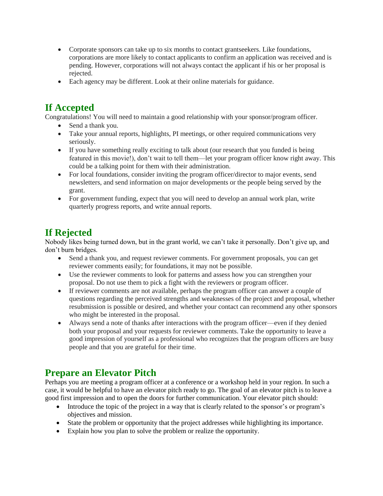- Corporate sponsors can take up to six months to contact grantseekers. Like foundations, corporations are more likely to contact applicants to confirm an application was received and is pending. However, corporations will not always contact the applicant if his or her proposal is rejected.
- Each agency may be different. Look at their online materials for guidance.

# **If Accepted**

Congratulations! You will need to maintain a good relationship with your sponsor/program officer.

- Send a thank you.
- Take your annual reports, highlights, PI meetings, or other required communications very seriously.
- If you have something really exciting to talk about (our research that you funded is being featured in this movie!), don't wait to tell them—let your program officer know right away. This could be a talking point for them with their administration.
- For local foundations, consider inviting the program officer/director to major events, send newsletters, and send information on major developments or the people being served by the grant.
- For government funding, expect that you will need to develop an annual work plan, write quarterly progress reports, and write annual reports.

## **If Rejected**

Nobody likes being turned down, but in the grant world, we can't take it personally. Don't give up, and don't burn bridges.

- Send a thank you, and request reviewer comments. For government proposals, you can get reviewer comments easily; for foundations, it may not be possible.
- Use the reviewer comments to look for patterns and assess how you can strengthen your proposal. Do not use them to pick a fight with the reviewers or program officer.
- If reviewer comments are not available, perhaps the program officer can answer a couple of questions regarding the perceived strengths and weaknesses of the project and proposal, whether resubmission is possible or desired, and whether your contact can recommend any other sponsors who might be interested in the proposal.
- Always send a note of thanks after interactions with the program officer—even if they denied both your proposal and your requests for reviewer comments. Take the opportunity to leave a good impression of yourself as a professional who recognizes that the program officers are busy people and that you are grateful for their time.

# **Prepare an Elevator Pitch**

Perhaps you are meeting a program officer at a conference or a workshop held in your region. In such a case, it would be helpful to have an elevator pitch ready to go. The goal of an elevator pitch is to leave a good first impression and to open the doors for further communication. Your elevator pitch should:

- Introduce the topic of the project in a way that is clearly related to the sponsor's or program's objectives and mission.
- State the problem or opportunity that the project addresses while highlighting its importance.
- Explain how you plan to solve the problem or realize the opportunity.